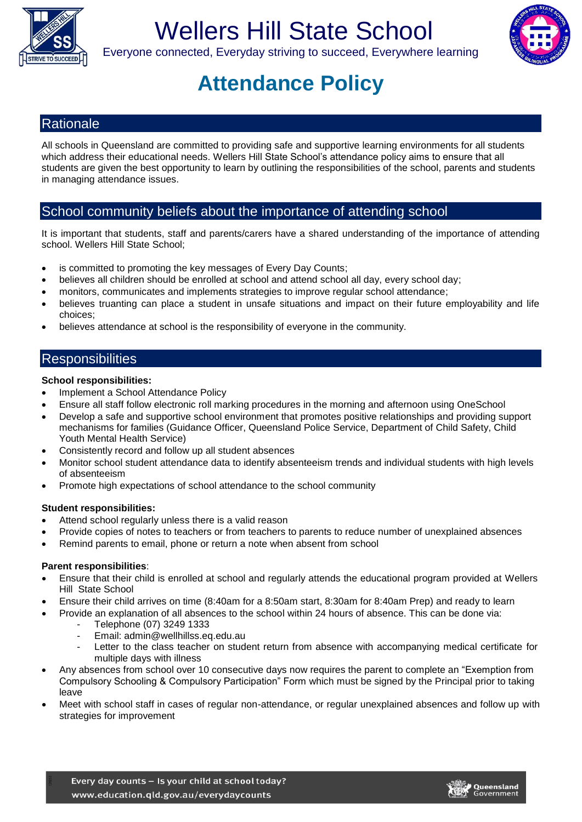

# Wellers Hill State School



Everyone connected, Everyday striving to succeed, Everywhere learning

## **Attendance Policy**

## **Rationale**

All schools in Queensland are committed to providing safe and supportive learning environments for all students which address their educational needs. Wellers Hill State School's attendance policy aims to ensure that all students are given the best opportunity to learn by outlining the responsibilities of the school, parents and students in managing attendance issues.

## School community beliefs about the importance of attending school

It is important that students, staff and parents/carers have a shared understanding of the importance of attending school. Wellers Hill State School;

- is committed to promoting the key messages of Every Day Counts;
- believes all children should be enrolled at school and attend school all day, every school day;
- monitors, communicates and implements strategies to improve regular school attendance;
- believes truanting can place a student in unsafe situations and impact on their future employability and life choices;
- believes attendance at school is the responsibility of everyone in the community.

## **Responsibilities**

#### **School responsibilities:**

- Implement a School Attendance Policy
- Ensure all staff follow electronic roll marking procedures in the morning and afternoon using OneSchool
- Develop a safe and supportive school environment that promotes positive relationships and providing support mechanisms for families (Guidance Officer, Queensland Police Service, Department of Child Safety, Child Youth Mental Health Service)
- Consistently record and follow up all student absences
- Monitor school student attendance data to identify absenteeism trends and individual students with high levels of absenteeism
- Promote high expectations of school attendance to the school community

### **Student responsibilities:**

- Attend school regularly unless there is a valid reason
- Provide copies of notes to teachers or from teachers to parents to reduce number of unexplained absences
- Remind parents to email, phone or return a note when absent from school

#### **Parent responsibilities**:

- Ensure that their child is enrolled at school and regularly attends the educational program provided at Wellers Hill State School
- Ensure their child arrives on time (8:40am for a 8:50am start, 8:30am for 8:40am Prep) and ready to learn
- Provide an explanation of all absences to the school within 24 hours of absence. This can be done via:
	- Telephone (07) 3249 1333
	- Email: admin@wellhillss.eq.edu.au
	- Letter to the class teacher on student return from absence with accompanying medical certificate for multiple days with illness
- Any absences from school over 10 consecutive days now requires the parent to complete an "Exemption from Compulsory Schooling & Compulsory Participation" Form which must be signed by the Principal prior to taking leave
- Meet with school staff in cases of regular non-attendance, or regular unexplained absences and follow up with strategies for improvement

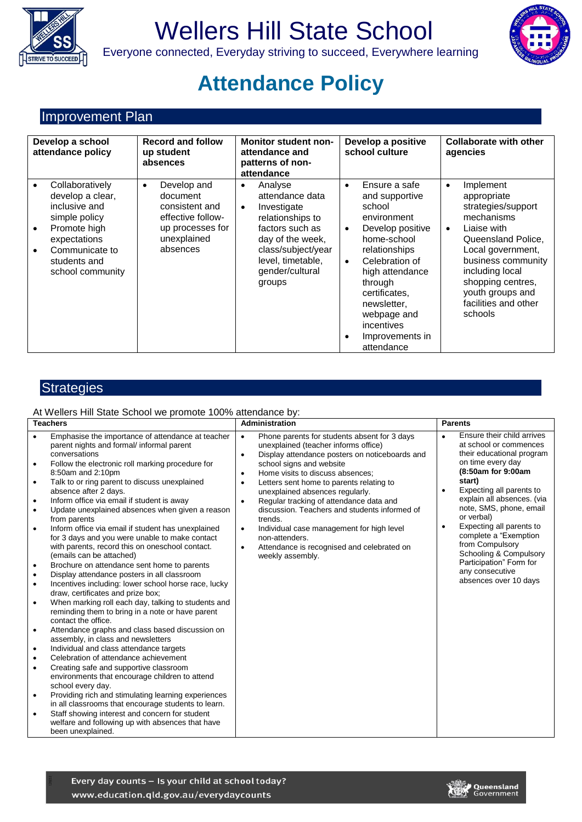

# Wellers Hill State School



## Everyone connected, Everyday striving to succeed, Everywhere learning

## **Attendance Policy**

## Improvement Plan

| Develop a school<br>attendance policy |                                                                                                                                                             | <b>Record and follow</b><br>up student<br>absences                                                                         | <b>Monitor student non-</b><br>attendance and<br>patterns of non-<br>attendance                                                                                                                        | Develop a positive<br>school culture                                                                                                                                                                                                                                                                           | <b>Collaborate with other</b><br>agencies                                                                                                                                                                                                                             |
|---------------------------------------|-------------------------------------------------------------------------------------------------------------------------------------------------------------|----------------------------------------------------------------------------------------------------------------------------|--------------------------------------------------------------------------------------------------------------------------------------------------------------------------------------------------------|----------------------------------------------------------------------------------------------------------------------------------------------------------------------------------------------------------------------------------------------------------------------------------------------------------------|-----------------------------------------------------------------------------------------------------------------------------------------------------------------------------------------------------------------------------------------------------------------------|
| $\bullet$<br>٠                        | Collaboratively<br>develop a clear,<br>inclusive and<br>simple policy<br>Promote high<br>expectations<br>Communicate to<br>students and<br>school community | Develop and<br>$\bullet$<br>document<br>consistent and<br>effective follow-<br>up processes for<br>unexplained<br>absences | Analyse<br>$\bullet$<br>attendance data<br>Investigate<br>$\bullet$<br>relationships to<br>factors such as<br>day of the week,<br>class/subject/year<br>level, timetable,<br>gender/cultural<br>groups | Ensure a safe<br>$\bullet$<br>and supportive<br>school<br>environment<br>Develop positive<br>$\bullet$<br>home-school<br>relationships<br>Celebration of<br>$\bullet$<br>high attendance<br>through<br>certificates,<br>newsletter,<br>webpage and<br>incentives<br>Improvements in<br>$\bullet$<br>attendance | Implement<br>$\bullet$<br>appropriate<br>strategies/support<br>mechanisms<br>Liaise with<br>$\bullet$<br>Queensland Police,<br>Local government,<br>business community<br>including local<br>shopping centres,<br>youth groups and<br>facilities and other<br>schools |

## **Strategies**

#### At Wellers Hill State School we promote 100% attendance by:

| <b>Teachers</b>                                                                                                                                                                                                                                                                                                                                                                                                                                                                                                                                                                                                                                                                                                                                                                                                                                                                                                                                                                                                                                                                                                                                                                                                                                                                                                                                                                                                                                                                                                                                                                                                                                        | Administration                                                                                                                                                                                                                                                                                                                                                                                                                                                                                                                                                                                                           | <b>Parents</b>                                                                                                                                                                                                                                                                                                                                                                                                                  |
|--------------------------------------------------------------------------------------------------------------------------------------------------------------------------------------------------------------------------------------------------------------------------------------------------------------------------------------------------------------------------------------------------------------------------------------------------------------------------------------------------------------------------------------------------------------------------------------------------------------------------------------------------------------------------------------------------------------------------------------------------------------------------------------------------------------------------------------------------------------------------------------------------------------------------------------------------------------------------------------------------------------------------------------------------------------------------------------------------------------------------------------------------------------------------------------------------------------------------------------------------------------------------------------------------------------------------------------------------------------------------------------------------------------------------------------------------------------------------------------------------------------------------------------------------------------------------------------------------------------------------------------------------------|--------------------------------------------------------------------------------------------------------------------------------------------------------------------------------------------------------------------------------------------------------------------------------------------------------------------------------------------------------------------------------------------------------------------------------------------------------------------------------------------------------------------------------------------------------------------------------------------------------------------------|---------------------------------------------------------------------------------------------------------------------------------------------------------------------------------------------------------------------------------------------------------------------------------------------------------------------------------------------------------------------------------------------------------------------------------|
| Emphasise the importance of attendance at teacher<br>$\bullet$<br>parent nights and formal/ informal parent<br>conversations<br>Follow the electronic roll marking procedure for<br>$\bullet$<br>8:50am and 2:10pm<br>Talk to or ring parent to discuss unexplained<br>$\bullet$<br>absence after 2 days.<br>Inform office via email if student is away<br>$\bullet$<br>Update unexplained absences when given a reason<br>$\bullet$<br>from parents<br>Inform office via email if student has unexplained<br>$\bullet$<br>for 3 days and you were unable to make contact<br>with parents, record this on oneschool contact.<br>(emails can be attached)<br>Brochure on attendance sent home to parents<br>$\bullet$<br>Display attendance posters in all classroom<br>$\bullet$<br>Incentives including: lower school horse race, lucky<br>$\bullet$<br>draw, certificates and prize box;<br>When marking roll each day, talking to students and<br>$\bullet$<br>reminding them to bring in a note or have parent<br>contact the office.<br>Attendance graphs and class based discussion on<br>$\bullet$<br>assembly, in class and newsletters<br>Individual and class attendance targets<br>$\bullet$<br>Celebration of attendance achievement<br>$\bullet$<br>Creating safe and supportive classroom<br>$\bullet$<br>environments that encourage children to attend<br>school every day.<br>Providing rich and stimulating learning experiences<br>$\bullet$<br>in all classrooms that encourage students to learn.<br>Staff showing interest and concern for student<br>٠<br>welfare and following up with absences that have<br>been unexplained. | Phone parents for students absent for 3 days<br>$\bullet$<br>unexplained (teacher informs office)<br>Display attendance posters on noticeboards and<br>$\bullet$<br>school signs and website<br>Home visits to discuss absences;<br>$\bullet$<br>Letters sent home to parents relating to<br>$\bullet$<br>unexplained absences regularly.<br>Regular tracking of attendance data and<br>$\bullet$<br>discussion. Teachers and students informed of<br>trends.<br>Individual case management for high level<br>$\bullet$<br>non-attenders.<br>Attendance is recognised and celebrated on<br>$\bullet$<br>weekly assembly. | Ensure their child arrives<br>at school or commences<br>their educational program<br>on time every day<br>(8:50am for 9:00am<br>start)<br>Expecting all parents to<br>explain all absences. (via<br>note, SMS, phone, email<br>or verbal)<br>Expecting all parents to<br>$\bullet$<br>complete a "Exemption<br>from Compulsory<br>Schooling & Compulsory<br>Participation" Form for<br>any consecutive<br>absences over 10 days |